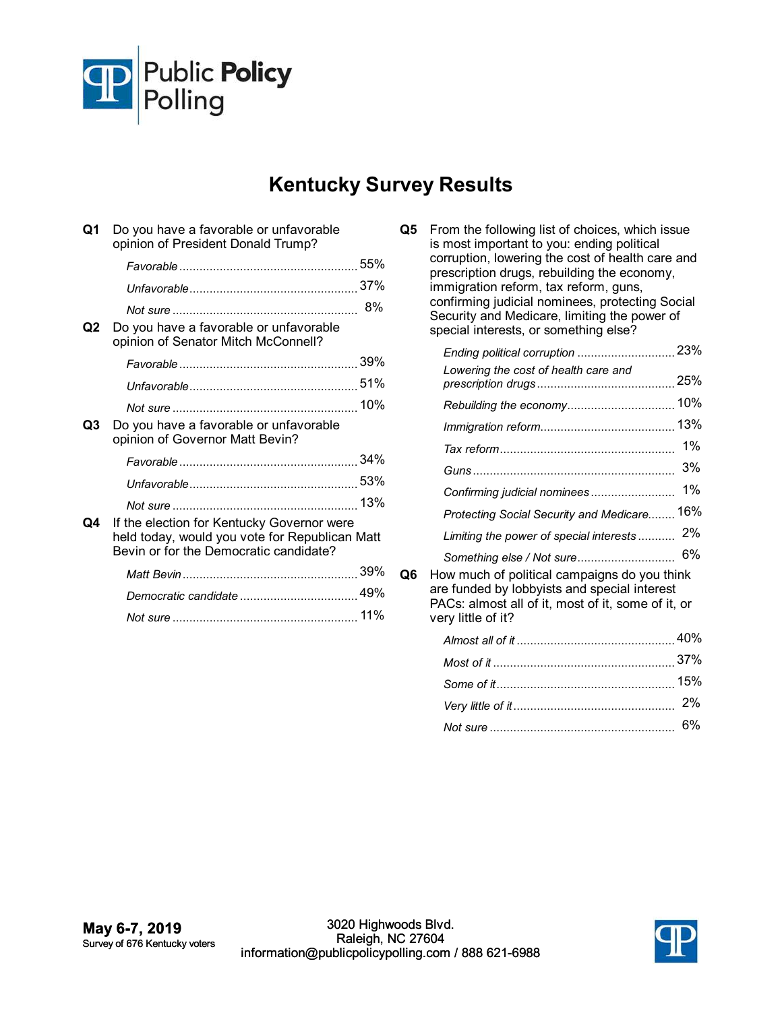

## **Kentucky Survey Results**

| Q1 | Do you have a favorable or unfavorable<br>opinion of President Donald Trump?                                                           |     |
|----|----------------------------------------------------------------------------------------------------------------------------------------|-----|
|    |                                                                                                                                        |     |
|    |                                                                                                                                        |     |
| Ο2 | Do you have a favorable or unfavorable<br>opinion of Senator Mitch McConnell?                                                          | 8%  |
|    |                                                                                                                                        |     |
|    |                                                                                                                                        |     |
|    |                                                                                                                                        |     |
| Q3 | Do you have a favorable or unfavorable<br>opinion of Governor Matt Bevin?                                                              |     |
|    |                                                                                                                                        |     |
|    |                                                                                                                                        |     |
|    |                                                                                                                                        | 13% |
| Q4 | If the election for Kentucky Governor were<br>held today, would you vote for Republican Matt<br>Bevin or for the Democratic candidate? |     |
|    |                                                                                                                                        |     |
|    |                                                                                                                                        |     |
|    |                                                                                                                                        | 11% |

| Q5 | From the following list of choices, which issue<br>is most important to you: ending political<br>corruption, lowering the cost of health care and<br>prescription drugs, rebuilding the economy,<br>immigration reform, tax reform, guns,<br>confirming judicial nominees, protecting Social<br>Security and Medicare, limiting the power of<br>special interests, or something else? |     |
|----|---------------------------------------------------------------------------------------------------------------------------------------------------------------------------------------------------------------------------------------------------------------------------------------------------------------------------------------------------------------------------------------|-----|
|    | Ending political corruption  23%                                                                                                                                                                                                                                                                                                                                                      |     |
|    | Lowering the cost of health care and                                                                                                                                                                                                                                                                                                                                                  |     |
|    | Rebuilding the economy 10%                                                                                                                                                                                                                                                                                                                                                            |     |
|    |                                                                                                                                                                                                                                                                                                                                                                                       | 13% |
|    |                                                                                                                                                                                                                                                                                                                                                                                       | 1%  |
|    |                                                                                                                                                                                                                                                                                                                                                                                       | 3%  |
|    | Confirming judicial nominees                                                                                                                                                                                                                                                                                                                                                          | 1%  |
|    | Protecting Social Security and Medicare 16%                                                                                                                                                                                                                                                                                                                                           |     |
|    | Limiting the power of special interests                                                                                                                                                                                                                                                                                                                                               | 2%  |
|    | Something else / Not sure                                                                                                                                                                                                                                                                                                                                                             | 6%  |
| Q6 | How much of political campaigns do you think<br>are funded by lobbyists and special interest<br>PACs: almost all of it, most of it, some of it, or<br>very little of it?                                                                                                                                                                                                              |     |
|    |                                                                                                                                                                                                                                                                                                                                                                                       |     |
|    |                                                                                                                                                                                                                                                                                                                                                                                       |     |
|    |                                                                                                                                                                                                                                                                                                                                                                                       |     |
|    |                                                                                                                                                                                                                                                                                                                                                                                       | 2%  |
|    |                                                                                                                                                                                                                                                                                                                                                                                       |     |

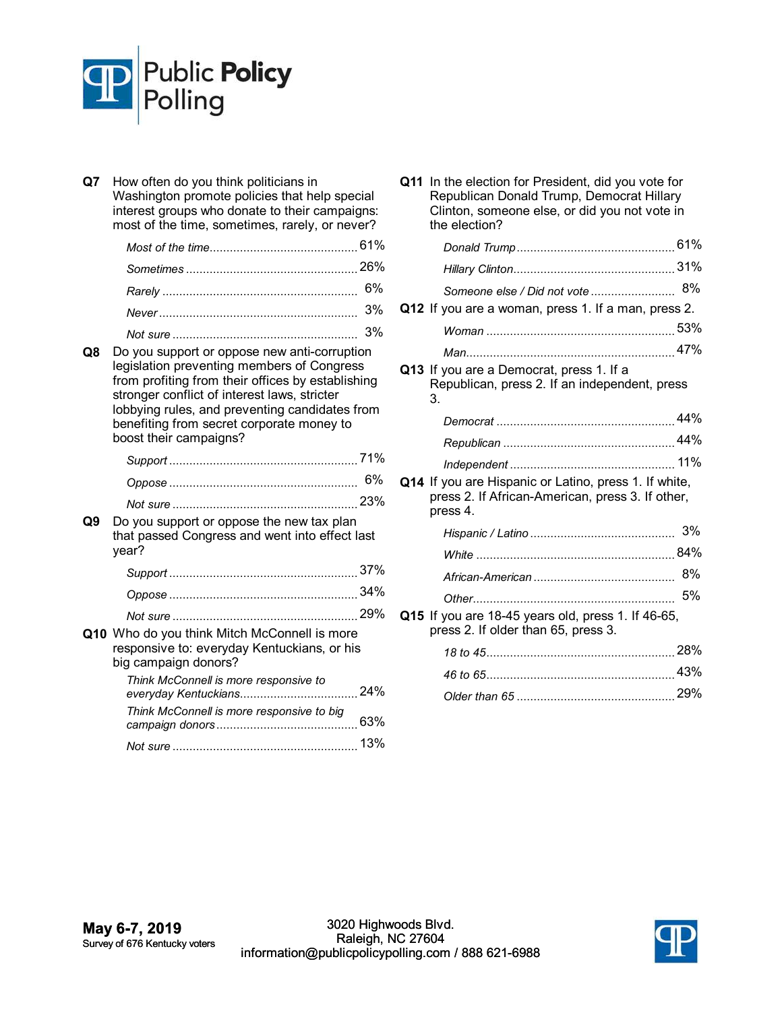

| Q7 | How often do you think politicians in<br>Washington promote policies that help special<br>interest groups who donate to their campaigns:<br>most of the time, sometimes, rarely, or never?                                                                                                                               |     |
|----|--------------------------------------------------------------------------------------------------------------------------------------------------------------------------------------------------------------------------------------------------------------------------------------------------------------------------|-----|
|    |                                                                                                                                                                                                                                                                                                                          |     |
|    |                                                                                                                                                                                                                                                                                                                          |     |
|    |                                                                                                                                                                                                                                                                                                                          | 6%  |
|    |                                                                                                                                                                                                                                                                                                                          | 3%  |
|    |                                                                                                                                                                                                                                                                                                                          | 3%  |
| Q8 | Do you support or oppose new anti-corruption<br>legislation preventing members of Congress<br>from profiting from their offices by establishing<br>stronger conflict of interest laws, stricter<br>lobbying rules, and preventing candidates from<br>benefiting from secret corporate money to<br>boost their campaigns? |     |
|    |                                                                                                                                                                                                                                                                                                                          |     |
|    |                                                                                                                                                                                                                                                                                                                          | 6%  |
|    |                                                                                                                                                                                                                                                                                                                          |     |
| Q9 | Do you support or oppose the new tax plan<br>that passed Congress and went into effect last<br>year?                                                                                                                                                                                                                     |     |
|    |                                                                                                                                                                                                                                                                                                                          |     |
|    |                                                                                                                                                                                                                                                                                                                          |     |
|    |                                                                                                                                                                                                                                                                                                                          |     |
|    | Q10 Who do you think Mitch McConnell is more<br>responsive to: everyday Kentuckians, or his<br>big campaign donors?                                                                                                                                                                                                      |     |
|    | Think McConnell is more responsive to<br>everyday Kentuckians                                                                                                                                                                                                                                                            | 24% |
|    | Think McConnell is more responsive to big                                                                                                                                                                                                                                                                                |     |
|    |                                                                                                                                                                                                                                                                                                                          |     |

| the election?                                                                                                         |     |
|-----------------------------------------------------------------------------------------------------------------------|-----|
|                                                                                                                       |     |
|                                                                                                                       |     |
| Someone else / Did not vote  8%                                                                                       |     |
| Q12 If you are a woman, press 1. If a man, press 2.                                                                   |     |
|                                                                                                                       |     |
|                                                                                                                       |     |
| Q13 If you are a Democrat, press 1. If a<br>Republican, press 2. If an independent, press<br>3.                       |     |
|                                                                                                                       |     |
|                                                                                                                       |     |
| Q14 If you are Hispanic or Latino, press 1. If white,<br>press 2. If African-American, press 3. If other,<br>press 4. |     |
|                                                                                                                       |     |
|                                                                                                                       |     |
|                                                                                                                       | 8%  |
|                                                                                                                       | 5%  |
| Q15 If you are 18-45 years old, press 1. If 46-65,<br>press 2. If older than 65, press 3.                             |     |
|                                                                                                                       |     |
| 46 to 65                                                                                                              | 43% |

**Q11** In the election for President, did you vote for Republican Donald Trump, Democrat Hillary Clinton, someone else, or did you not vote in

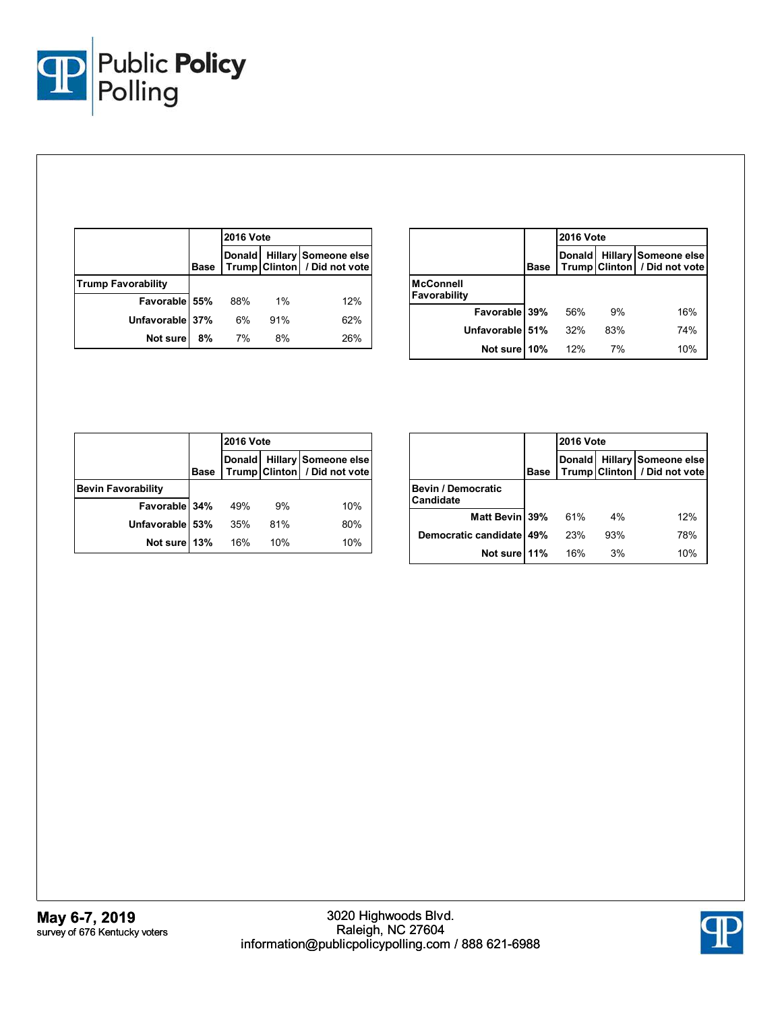

|                           |             | <b>2016 Vote</b> |       |                                                               |
|---------------------------|-------------|------------------|-------|---------------------------------------------------------------|
|                           | <b>Base</b> |                  |       | Donald   Hillary Someone else<br>Trump Clinton / Did not vote |
| <b>Trump Favorability</b> |             |                  |       |                                                               |
| Favorable 55%             |             | 88%              | $1\%$ | 12%                                                           |
| Unfavorable 37%           |             | 6%               | 91%   | 62%                                                           |
| Not sure                  | 8%          | 7%               | 8%    | 26%                                                           |

|                                  |             | <b>2016 Vote</b> |     |                                                      |
|----------------------------------|-------------|------------------|-----|------------------------------------------------------|
|                                  | <b>Base</b> | <b>Donald</b>    |     | Hillary Someone else<br>Trump Clinton / Did not vote |
| <b>McConnell</b><br>Favorability |             |                  |     |                                                      |
| Favorable 39%                    |             | 56%              | 9%  | 16%                                                  |
| Unfavorable 51%                  |             | 32%              | 83% | 74%                                                  |
| Not sure                         | 10%         | 12%              | 7%  | 10%                                                  |

|                           |             | <b>2016 Vote</b> |     |                                                      |
|---------------------------|-------------|------------------|-----|------------------------------------------------------|
|                           | <b>Base</b> | <b>Donald</b>    |     | Hillary Someone else<br>Trump Clinton / Did not vote |
| <b>Bevin Favorability</b> |             |                  |     |                                                      |
| Favorable 34%             |             | 49%              | 9%  | 10%                                                  |
| Unfavorable 53%           |             | 35%              | 81% | 80%                                                  |
| Not sure 13%              |             | 16%              | 10% | 10%                                                  |

|                                        |             | <b>2016 Vote</b> |     |                                                        |
|----------------------------------------|-------------|------------------|-----|--------------------------------------------------------|
|                                        | <b>Base</b> | <b>Donald</b>    |     | Hillary Someone else<br>Trump Clinton   / Did not vote |
| <b>Bevin / Democratic</b><br>Candidate |             |                  |     |                                                        |
| Matt Bevin 39%                         |             | 61%              | 4%  | 12%                                                    |
| Democratic candidate 49%               |             | 23%              | 93% | 78%                                                    |
| Not sure 11%                           |             | 16%              | 3%  | 10%                                                    |

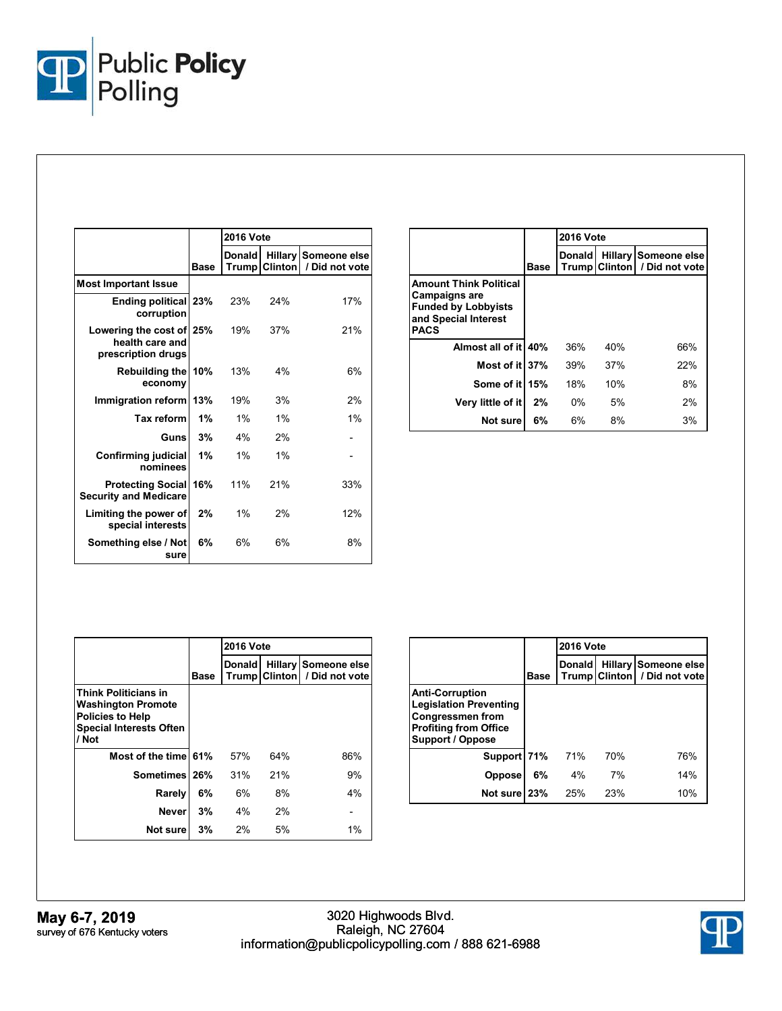

|                                                                   |             | <b>2016 Vote</b> |                                        |                                |
|-------------------------------------------------------------------|-------------|------------------|----------------------------------------|--------------------------------|
|                                                                   | <b>Base</b> | Donald           | <b>Hillary</b><br><b>Trump Clinton</b> | Someone else<br>/ Did not vote |
| <b>Most Important Issue</b>                                       |             |                  |                                        |                                |
| <b>Ending political 23%</b><br>corruption                         |             | 23%              | 24%                                    | 17%                            |
| Lowering the cost of 25%<br>health care and<br>prescription drugs |             | 19%              | 37%                                    | 21%                            |
| <b>Rebuilding the</b><br>economy                                  | 10%         | 13%              | 4%                                     | 6%                             |
| Immigration reform                                                | 13%         | 19%              | 3%                                     | 2%                             |
| <b>Tax reform</b>                                                 | 1%          | 1%               | 1%                                     | 1%                             |
| Guns                                                              | 3%          | 4%               | 2%                                     |                                |
| <b>Confirming judicial</b><br>nominees                            | 1%          | 1%               | 1%                                     |                                |
| <b>Protecting Social</b><br><b>Security and Medicare</b>          | 16%         | 11%              | 21%                                    | 33%                            |
| Limiting the power of<br>special interests                        | 2%          | $1\%$            | 2%                                     | 12%                            |
| Something else / Not<br>sure                                      | 6%          | 6%               | 6%                                     | 8%                             |

|                                                                                                                            |             | <b>2016 Vote</b> |               |                                        |
|----------------------------------------------------------------------------------------------------------------------------|-------------|------------------|---------------|----------------------------------------|
|                                                                                                                            | <b>Base</b> | <b>Donald</b>    | Trump Clinton | Hillary Someone else<br>/ Did not vote |
| <b>Amount Think Political</b><br><b>Campaigns are</b><br><b>Funded by Lobbyists</b><br>and Special Interest<br><b>PACS</b> |             |                  |               |                                        |
| Almost all of it 40%                                                                                                       |             | 36%              | 40%           | 66%                                    |
| Most of it 37%                                                                                                             |             | 39%              | 37%           | 22%                                    |
| Some of it 15%                                                                                                             |             | 18%              | 10%           | 8%                                     |
| Very little of it                                                                                                          | 2%          | 0%               | 5%            | 2%                                     |
| Not sure                                                                                                                   | 6%          | 6%               | 8%            | 3%                                     |

|                                                                                                                                |      | <b>2016 Vote</b> |     |                                                        |
|--------------------------------------------------------------------------------------------------------------------------------|------|------------------|-----|--------------------------------------------------------|
|                                                                                                                                | Base | Donald           |     | Hillary Someone else<br>Trump Clinton   / Did not vote |
| <b>Think Politicians in</b><br><b>Washington Promote</b><br><b>Policies to Help</b><br><b>Special Interests Often</b><br>/ Not |      |                  |     |                                                        |
| Most of the time 61%                                                                                                           |      | 57%              | 64% | 86%                                                    |
| Sometimes 26%                                                                                                                  |      | 31%              | 21% | 9%                                                     |
| Rarely                                                                                                                         | 6%   | 6%               | 8%  | 4%                                                     |
| <b>Never</b>                                                                                                                   | 3%   | 4%               | 2%  |                                                        |
| Not sure                                                                                                                       | 3%   | 2%               | 5%  | $1\%$                                                  |

|                                                                                                                                        |             | <b>2016 Vote</b> |     |                                                        |  |
|----------------------------------------------------------------------------------------------------------------------------------------|-------------|------------------|-----|--------------------------------------------------------|--|
|                                                                                                                                        | <b>Base</b> | <b>Donald</b>    |     | Hillary Someone else<br>Trump Clinton   / Did not vote |  |
| <b>Anti-Corruption</b><br><b>Legislation Preventing</b><br><b>Congressmen from</b><br><b>Profiting from Office</b><br>Support / Oppose |             |                  |     |                                                        |  |
| Support 71%                                                                                                                            |             | 71%              | 70% | 76%                                                    |  |
| <b>Oppose</b>                                                                                                                          | 6%          | 4%               | 7%  | 14%                                                    |  |
| Not sure 23%                                                                                                                           |             | 25%              | 23% | 10%                                                    |  |

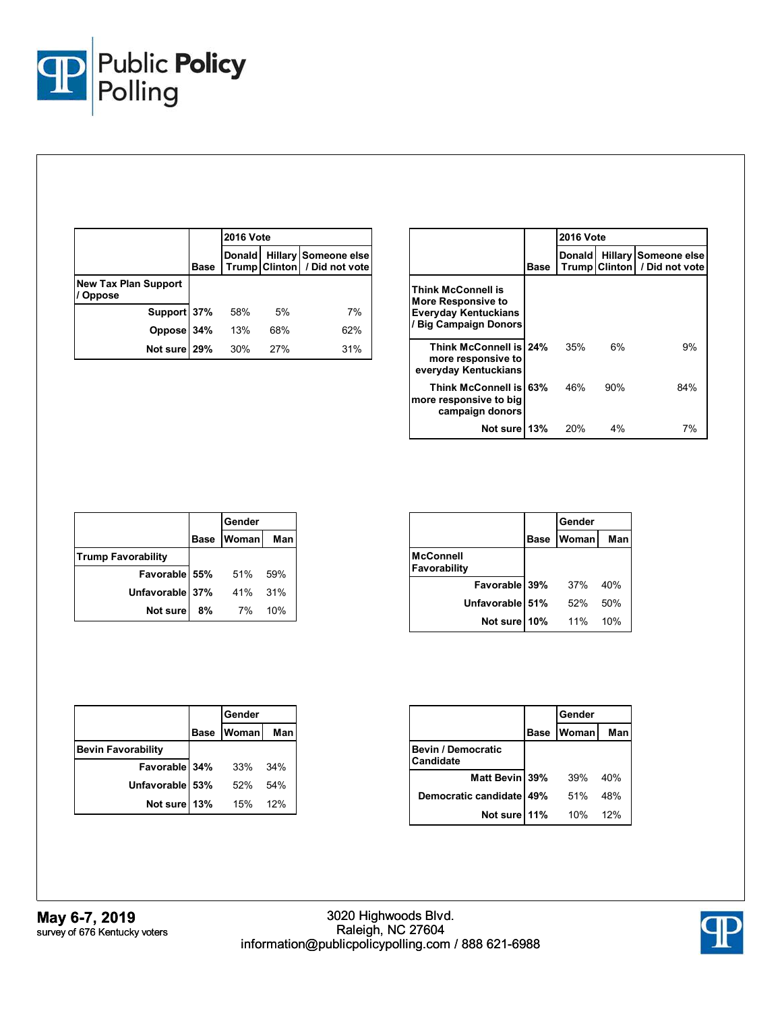

|                                              |             | <b>2016 Vote</b> |     |                                                      |  |
|----------------------------------------------|-------------|------------------|-----|------------------------------------------------------|--|
|                                              | <b>Base</b> | <b>Donald</b>    |     | Hillary Someone else<br>Trump Clinton / Did not vote |  |
| <b>New Tax Plan Support</b><br><b>Oppose</b> |             |                  |     |                                                      |  |
| Support 37%                                  |             | 58%              | 5%  | 7%                                                   |  |
| Oppose                                       | 34%         | 13%              | 68% | 62%                                                  |  |
| Not sure 29%                                 |             | 30%              | 27% | 31%                                                  |  |

|                                                                                                         |             | <b>2016 Vote</b> |     |                                                        |  |
|---------------------------------------------------------------------------------------------------------|-------------|------------------|-----|--------------------------------------------------------|--|
|                                                                                                         | <b>Base</b> | <b>Donald</b>    |     | Hillary Someone else<br>Trump Clinton   / Did not vote |  |
| Think McConnell is<br><b>More Responsive to</b><br><b>Everyday Kentuckians</b><br>/ Big Campaign Donors |             |                  |     |                                                        |  |
| Think McConnell is 24%<br>more responsive to<br>everyday Kentuckians                                    |             | 35%              | 6%  | 9%                                                     |  |
| Think McConnell is 63%<br>more responsive to big<br>campaign donors                                     |             | 46%              | 90% | 84%                                                    |  |
| Not sure 13%                                                                                            |             | 20%              | 4%  | 7%                                                     |  |

|                           |             | Gender       |     |  |
|---------------------------|-------------|--------------|-----|--|
|                           | <b>Base</b> | <b>Woman</b> | Man |  |
| <b>Trump Favorability</b> |             |              |     |  |
| Favorable 55%             |             | 51%          | 59% |  |
| Unfavorable 37%           |             | 41%          | 31% |  |
| Not sure                  | 8%          | 7%           | 10% |  |

|                                  |             | Gender |     |
|----------------------------------|-------------|--------|-----|
|                                  | <b>Base</b> | Woman  | Man |
| <b>McConnell</b><br>Favorability |             |        |     |
| Favorable 39%                    |             | 37%    | 40% |
| Unfavorable 51%                  |             | 52%    | 50% |
| Not sure 10%                     |             | 11%    | 10% |

|                           |      | Gender       |     |
|---------------------------|------|--------------|-----|
|                           | Base | <b>Woman</b> | Man |
| <b>Bevin Favorability</b> |      |              |     |
| Favorable 34%             |      | 33%          | 34% |
| Unfavorable 53%           |      | 52%          | 54% |
| Not sure 13%              |      | 15%          | 12% |

|                                        |             | Gender |     |
|----------------------------------------|-------------|--------|-----|
|                                        | <b>Base</b> | Woman  | Man |
| <b>Bevin / Democratic</b><br>Candidate |             |        |     |
| Matt Bevin 39%                         |             | 39%    | 40% |
| Democratic candidate                   | 49%         | .51%   | 48% |
| Not sure 11%                           |             | 10%    | 12% |

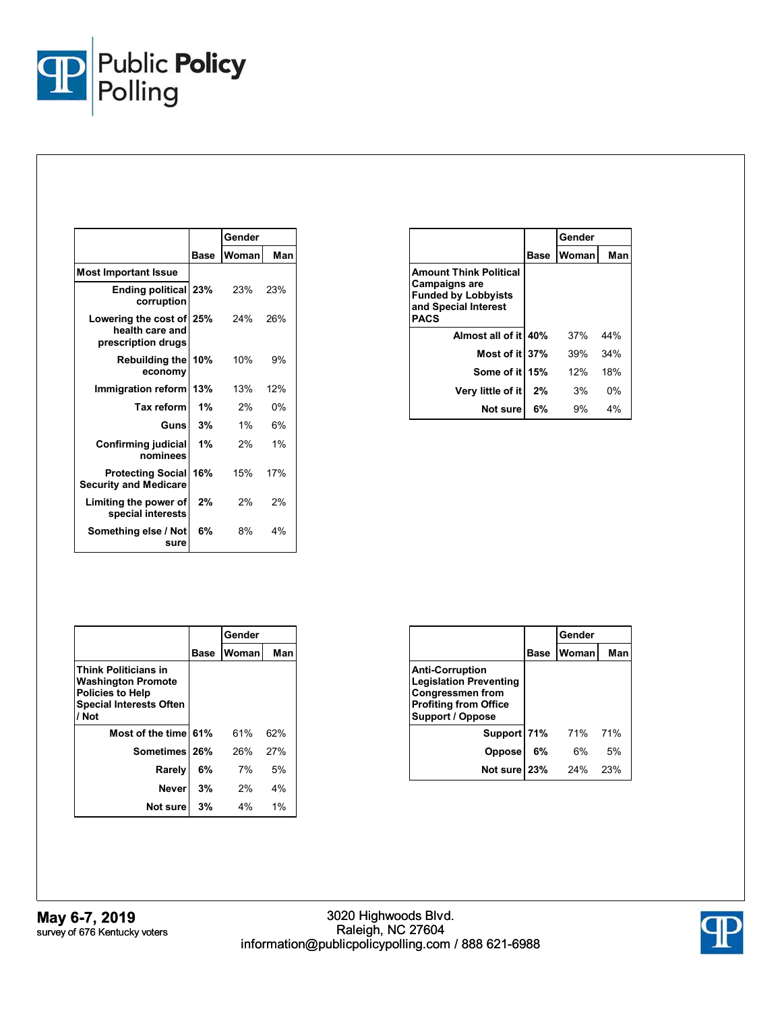

|                                                                   |             | Gender |     |
|-------------------------------------------------------------------|-------------|--------|-----|
|                                                                   | <b>Base</b> | Woman  | Man |
| <b>Most Important Issue</b>                                       |             |        |     |
| <b>Ending political</b><br>corruption                             | 23%         | 23%    | 23% |
| Lowering the cost of 25%<br>health care and<br>prescription drugs |             | 24%    | 26% |
| <b>Rebuilding the</b><br>economy                                  | 10%         | 10%    | 9%  |
| Immigration reform                                                | 13%         | 13%    | 12% |
| Tax reform                                                        | 1%          | 2%     | 0%  |
| Gunsl                                                             | 3%          | 1%     | 6%  |
| Confirming judicial<br>nominees                                   | 1%          | 2%     | 1%  |
| <b>Protecting Social</b><br><b>Security and Medicare</b>          | 16%         | 15%    | 17% |
| Limiting the power of<br>special interests                        | 2%          | 2%     | 2%  |
| Something else / Not<br>sure                                      | 6%          | 8%     | 4%  |

|                                                                                                                            |      | Gender |     |
|----------------------------------------------------------------------------------------------------------------------------|------|--------|-----|
|                                                                                                                            | Base | Woman  | Man |
| <b>Amount Think Political</b><br><b>Campaigns are</b><br><b>Funded by Lobbyists</b><br>and Special Interest<br><b>PACS</b> |      |        |     |
| Almost all of it 40%                                                                                                       |      | 37%    | 44% |
| Most of it 37%                                                                                                             |      | 39%    | 34% |
| Some of it 15%                                                                                                             |      | $12\%$ | 18% |
| Very little of it                                                                                                          | 2%   | 3%     | 0%  |
| Not sure                                                                                                                   | 6%   | 9%     | 4%  |

|                                                                                                                                |      | Gender |       |
|--------------------------------------------------------------------------------------------------------------------------------|------|--------|-------|
|                                                                                                                                | Base | Woman  | Man   |
| <b>Think Politicians in</b><br><b>Washington Promote</b><br><b>Policies to Help</b><br><b>Special Interests Often</b><br>/ Not |      |        |       |
| Most of the time 61%                                                                                                           |      | 61%    | 62%   |
| Sometimes 26%                                                                                                                  |      | 26%    | 27%   |
| Rarely                                                                                                                         | 6%   | 7%     | 5%    |
| Neverl                                                                                                                         | 3%   | 2%     | 4%    |
| Not sure                                                                                                                       | 3%   | 4%     | $1\%$ |

|                                                                                                                                        |      | Gender  |     |  |
|----------------------------------------------------------------------------------------------------------------------------------------|------|---------|-----|--|
|                                                                                                                                        | Base | Woman   | Man |  |
| <b>Anti-Corruption</b><br><b>Legislation Preventing</b><br><b>Congressmen from</b><br><b>Profiting from Office</b><br>Support / Oppose |      |         |     |  |
| Support 71%                                                                                                                            |      | 71% 71% |     |  |
| <b>Oppose</b>                                                                                                                          | 6%   | 6%      | 5%  |  |
| Not sure 23%                                                                                                                           |      | 24%     | 23% |  |

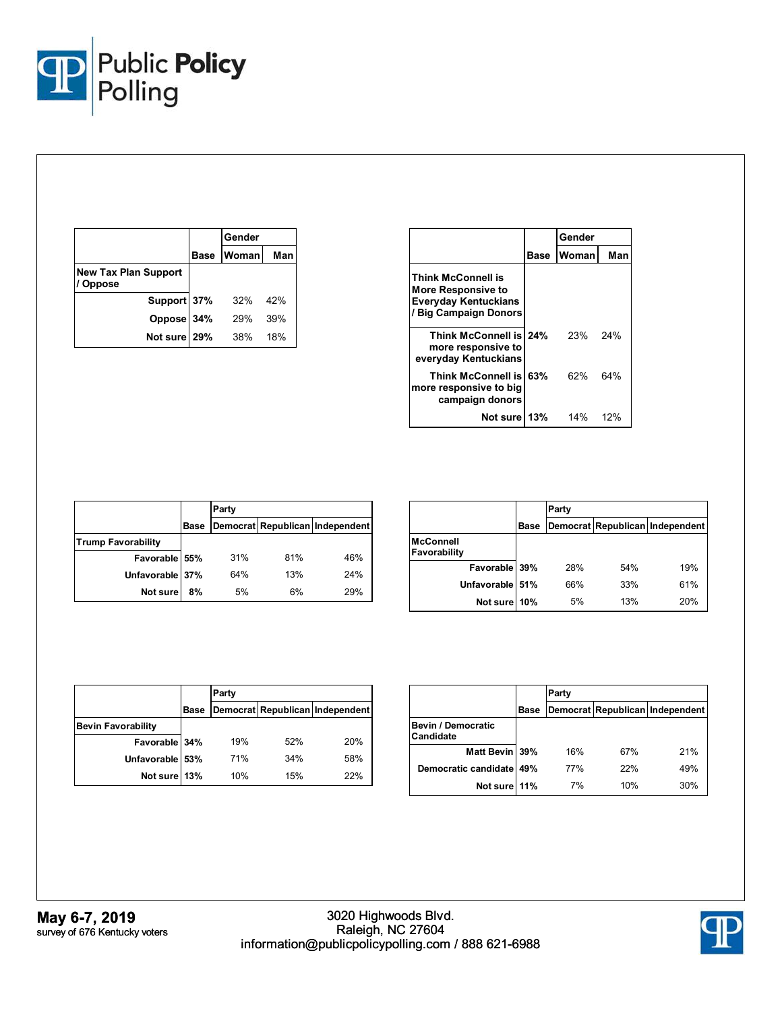

|                                              |             | Gender |     |
|----------------------------------------------|-------------|--------|-----|
|                                              | <b>Base</b> | Woman  | Man |
| <b>New Tax Plan Support</b><br><b>Oppose</b> |             |        |     |
| Support 37%                                  |             | 32%    | 42% |
| Oppose 34%                                   |             | 29%    | 39% |
| Not sure 29%                                 |             | 38%    | 18% |

|                                                                                                  |      | Gender |     |
|--------------------------------------------------------------------------------------------------|------|--------|-----|
|                                                                                                  | Base | Woman  | Man |
| Think McConnell is<br>More Responsive to<br><b>Everyday Kentuckians</b><br>/ Big Campaign Donors |      |        |     |
| Think McConnell is 24%<br>more responsive to<br>everyday Kentuckians                             |      | 23%    | 24% |
| Think McConnell is 63%<br>more responsive to big<br>campaign donors                              |      | 62%    | 64% |
| Not surel                                                                                        | 13%  | 14%    | 12% |

|                           |             | Party |     |                                 |  |
|---------------------------|-------------|-------|-----|---------------------------------|--|
|                           | <b>Base</b> |       |     | Democrat Republican Independent |  |
| <b>Trump Favorability</b> |             |       |     |                                 |  |
| Favorable 55%             |             | 31%   | 81% | 46%                             |  |
| Unfavorable 37%           |             | 64%   | 13% | 24%                             |  |
| Not sure                  | 8%          | 5%    | 6%  | 29%                             |  |

|                                  |             | Party |     |                                 |  |  |
|----------------------------------|-------------|-------|-----|---------------------------------|--|--|
|                                  | <b>Base</b> |       |     | Democrat Republican Independent |  |  |
| <b>McConnell</b><br>Favorability |             |       |     |                                 |  |  |
| Favorable 39%                    |             | 28%   | 54% | 19%                             |  |  |
| Unfavorable 51%                  |             | 66%   | 33% | 61%                             |  |  |
| Not sure 10%                     |             | 5%    | 13% | 20%                             |  |  |

|                           |      | Party |     |                                 |  |
|---------------------------|------|-------|-----|---------------------------------|--|
|                           | Base |       |     | Democrat Republican Independent |  |
| <b>Bevin Favorability</b> |      |       |     |                                 |  |
| Favorable 34%             |      | 19%   | 52% | 20%                             |  |
| Unfavorable 53%           |      | 71%   | 34% | 58%                             |  |
| Not sure 13%              |      | 10%   | 15% | 22%                             |  |

|                                        |      | Party      |     |                                 |  |  |  |
|----------------------------------------|------|------------|-----|---------------------------------|--|--|--|
|                                        | Base |            |     | Democrat Republican Independent |  |  |  |
| <b>Bevin / Democratic</b><br>Candidate |      |            |     |                                 |  |  |  |
| Matt Bevin 39%                         |      | 16%        | 67% | 21%                             |  |  |  |
| Democratic candidate                   | 49%  | <b>77%</b> | 22% | 49%                             |  |  |  |
| Not sure 11%                           |      | 7%         | 10% | 30%                             |  |  |  |

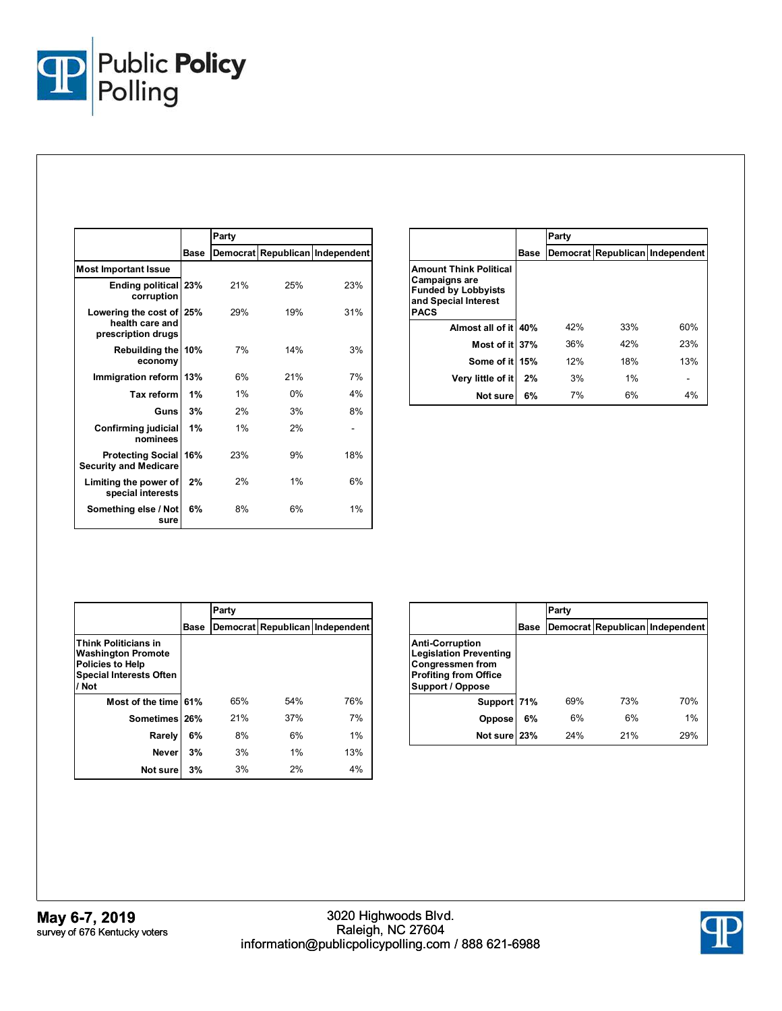

|                                                                   |      | Party |     |                                 |
|-------------------------------------------------------------------|------|-------|-----|---------------------------------|
|                                                                   | Base |       |     | Democrat Republican Independent |
| <b>Most Important Issue</b>                                       |      |       |     |                                 |
| <b>Ending political</b><br>corruption                             | 23%  | 21%   | 25% | 23%                             |
| Lowering the cost of 25%<br>health care and<br>prescription drugs |      | 29%   | 19% | 31%                             |
| Rebuilding the<br>economy                                         | 10%  | 7%    | 14% | 3%                              |
| Immigration reform                                                | 13%  | 6%    | 21% | 7%                              |
| Tax reform                                                        | 1%   | 1%    | 0%  | 4%                              |
| Guns                                                              | 3%   | 2%    | 3%  | 8%                              |
| Confirming judicial<br>nominees                                   | 1%   | 1%    | 2%  |                                 |
| <b>Protecting Social</b><br><b>Security and Medicare</b>          | 16%  | 23%   | 9%  | 18%                             |
| Limiting the power of<br>special interests                        | 2%   | 2%    | 1%  | 6%                              |
| Something else / Not<br>sure                                      | 6%   | 8%    | 6%  | 1%                              |

|                                                                                                                            |      | Party |     |                                 |
|----------------------------------------------------------------------------------------------------------------------------|------|-------|-----|---------------------------------|
|                                                                                                                            | Base |       |     | Democrat Republican Independent |
| <b>Amount Think Political</b><br><b>Campaigns are</b><br><b>Funded by Lobbyists</b><br>and Special Interest<br><b>PACS</b> |      |       |     |                                 |
| Almost all of it 40%                                                                                                       |      | 42%   | 33% | 60%                             |
| Most of it 37%                                                                                                             |      | 36%   | 42% | 23%                             |
| Some of it 15%                                                                                                             |      | 12%   | 18% | 13%                             |
| Very little of it                                                                                                          | 2%   | 3%    | 1%  |                                 |
| Not sure                                                                                                                   | 6%   | 7%    | 6%  | 4%                              |

|                                                                                                                                |      | Party |     |                                 |  |
|--------------------------------------------------------------------------------------------------------------------------------|------|-------|-----|---------------------------------|--|
|                                                                                                                                | Base |       |     | Democrat Republican Independent |  |
| <b>Think Politicians in</b><br><b>Washington Promote</b><br><b>Policies to Help</b><br><b>Special Interests Often</b><br>/ Not |      |       |     |                                 |  |
| Most of the time 61%                                                                                                           |      | 65%   | 54% | 76%                             |  |
| Sometimes 26%                                                                                                                  |      | 21%   | 37% | 7%                              |  |
| Rarely                                                                                                                         | 6%   | 8%    | 6%  | 1%                              |  |
| <b>Never</b>                                                                                                                   | 3%   | 3%    | 1%  | 13%                             |  |
| Not sure                                                                                                                       | 3%   | 3%    | 2%  | 4%                              |  |

|                                                                                                                                        |      | Party |     |                                 |
|----------------------------------------------------------------------------------------------------------------------------------------|------|-------|-----|---------------------------------|
|                                                                                                                                        | Base |       |     | Democrat Republican Independent |
| <b>Anti-Corruption</b><br><b>Legislation Preventing</b><br><b>Congressmen from</b><br><b>Profiting from Office</b><br>Support / Oppose |      |       |     |                                 |
| Support 71%                                                                                                                            |      | 69%   | 73% | 70%                             |
| <b>Oppose</b>                                                                                                                          | 6%   | 6%    | 6%  | 1%                              |
| Not sure 23%                                                                                                                           |      | 24%   | 21% | 29%                             |

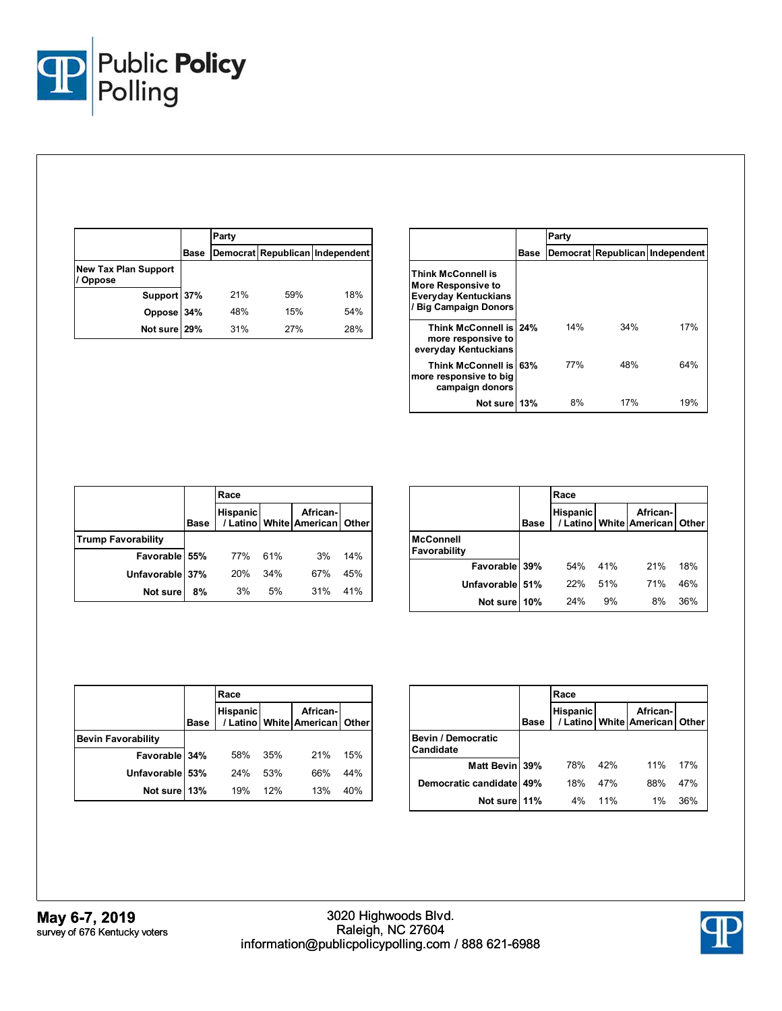

|                                              |      | Party |     |                                 |
|----------------------------------------------|------|-------|-----|---------------------------------|
|                                              | Base |       |     | Democrat Republican Independent |
| <b>New Tax Plan Support</b><br><b>Oppose</b> |      |       |     |                                 |
| Support 37%                                  |      | 21%   | 59% | 18%                             |
| Oppose 34%                                   |      | 48%   | 15% | 54%                             |
| Not sure 29%                                 |      | 31%   | 27% | 28%                             |

|                                                                                                         |      | Party |     |                                 |  |
|---------------------------------------------------------------------------------------------------------|------|-------|-----|---------------------------------|--|
|                                                                                                         | Base |       |     | Democrat Republican Independent |  |
| <b>Think McConnell is</b><br>More Responsive to<br><b>Everyday Kentuckians</b><br>/ Big Campaign Donors |      |       |     |                                 |  |
| Think McConnell is 24%<br>more responsive to<br>everyday Kentuckians                                    |      | 14%   | 34% | 17%                             |  |
| <b>Think McConnell is 63%</b><br>more responsive to big<br>campaign donors                              |      | 77%   | 48% | 64%                             |  |
| Not sure 13%                                                                                            |      | 8%    | 17% | 19%                             |  |

|                           |      | Race            |     |                                           |     |  |
|---------------------------|------|-----------------|-----|-------------------------------------------|-----|--|
|                           | Base | <b>Hispanic</b> |     | African-<br>/ Latino White American Other |     |  |
| <b>Trump Favorability</b> |      |                 |     |                                           |     |  |
| Favorable 55%             |      | 77%             | 61% | 3%                                        | 14% |  |
| Unfavorable 37%           |      | 20%             | 34% | 67%                                       | 45% |  |
| Not sure                  | 8%   | 3%              | 5%  | 31%                                       | 41% |  |

|                                  |      | Race            |     |                                         |       |  |
|----------------------------------|------|-----------------|-----|-----------------------------------------|-------|--|
|                                  | Base | <b>Hispanic</b> |     | African-<br>/ Latino   White   American | Other |  |
| <b>McConnell</b><br>Favorability |      |                 |     |                                         |       |  |
| Favorable 39%                    |      | 54%             | 41% | 21%                                     | 18%   |  |
| Unfavorable 51%                  |      | 22%             | 51% | 71%                                     | 46%   |  |
| Not sure                         | 10%  | 24%             | 9%  | 8%                                      | 36%   |  |

|                           |             | Race            |     |                                                 |     |  |
|---------------------------|-------------|-----------------|-----|-------------------------------------------------|-----|--|
|                           | <b>Base</b> | <b>Hispanic</b> |     | African-<br>/ Latino   White   American   Other |     |  |
| <b>Bevin Favorability</b> |             |                 |     |                                                 |     |  |
| Favorable 34%             |             | 58%             | 35% | 21%                                             | 15% |  |
| Unfavorable 53%           |             | 24%             | 53% | 66%                                             | 44% |  |
| Not sure 13%              |             | 19%             | 12% | 13%                                             | 40% |  |

|                                        |      | Race            |     |                                                 |     |  |
|----------------------------------------|------|-----------------|-----|-------------------------------------------------|-----|--|
|                                        | Base | <b>Hispanic</b> |     | African-<br>/ Latino   White   American   Other |     |  |
| <b>Bevin / Democratic</b><br>Candidate |      |                 |     |                                                 |     |  |
| Matt Bevin 39%                         |      | 78%             | 42% | 11%                                             | 17% |  |
| Democratic candidate 49%               |      | 18%             | 47% | 88%                                             | 47% |  |
| Not sure                               | 11%  | 4%              | 11% | $1\%$                                           | 36% |  |

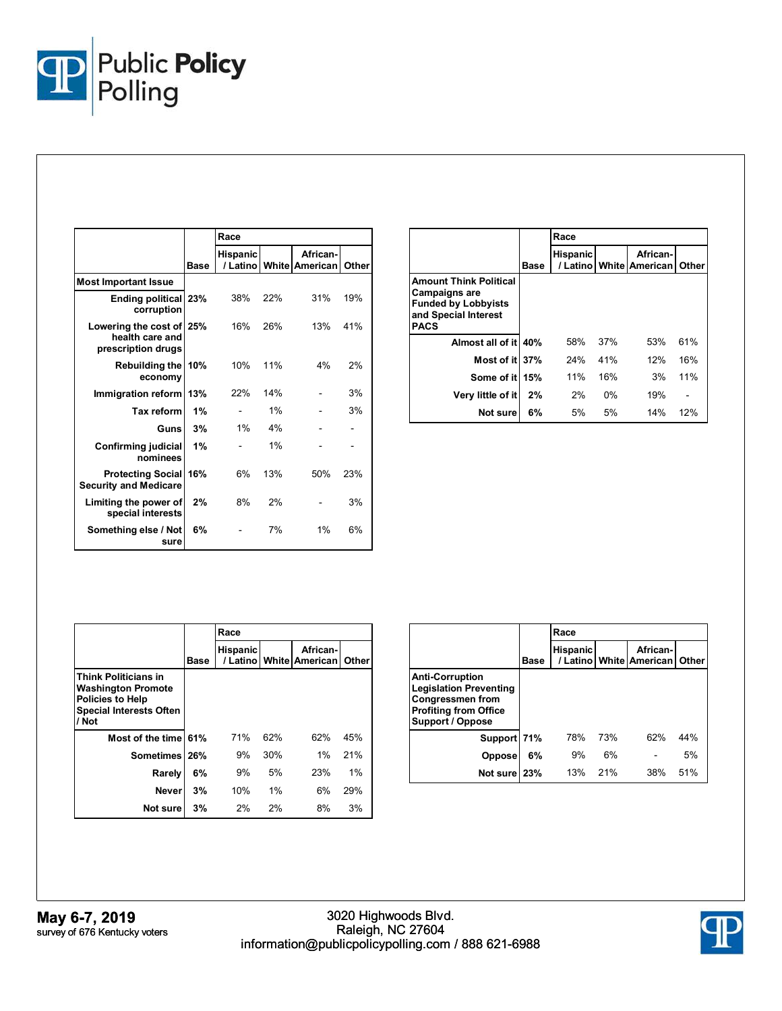

|                                                                   |      | Race                        |     |                            |       |
|-------------------------------------------------------------------|------|-----------------------------|-----|----------------------------|-------|
|                                                                   | Base | <b>Hispanic</b><br>/ Latino |     | African-<br>White American | Other |
| <b>Most Important Issue</b>                                       |      |                             |     |                            |       |
| <b>Ending political 23%</b><br>corruption                         |      | 38%                         | 22% | 31%                        | 19%   |
| Lowering the cost of 25%<br>health care and<br>prescription drugs |      | 16%                         | 26% | 13%                        | 41%   |
| <b>Rebuilding the</b><br>economy                                  | 10%  | 10%                         | 11% | 4%                         | 2%    |
| Immigration reform                                                | 13%  | 22%                         | 14% |                            | 3%    |
| <b>Tax reform</b>                                                 | 1%   |                             | 1%  |                            | 3%    |
| Guns                                                              | 3%   | 1%                          | 4%  |                            |       |
| <b>Confirming judicial</b><br>nominees                            | 1%   |                             | 1%  |                            |       |
| <b>Protecting Social</b><br><b>Security and Medicare</b>          | 16%  | 6%                          | 13% | 50%                        | 23%   |
| Limiting the power of<br>special interests                        | 2%   | 8%                          | 2%  |                            | 3%    |
| Something else / Not<br>sure                                      | 6%   |                             | 7%  | 1%                         | 6%    |

|                                                                                                                            |      | Race            |       |                                         |       |  |
|----------------------------------------------------------------------------------------------------------------------------|------|-----------------|-------|-----------------------------------------|-------|--|
|                                                                                                                            | Base | <b>Hispanic</b> |       | African-<br>/ Latino   White   American | Other |  |
| <b>Amount Think Political</b><br><b>Campaigns are</b><br><b>Funded by Lobbyists</b><br>and Special Interest<br><b>PACS</b> |      |                 |       |                                         |       |  |
| Almost all of it 40%                                                                                                       |      | 58%             | 37%   | 53%                                     | 61%   |  |
| Most of it 37%                                                                                                             |      | 24%             | 41%   | 12%                                     | 16%   |  |
| Some of it                                                                                                                 | 15%  | 11%             | 16%   | 3%                                      | 11%   |  |
| Very little of it                                                                                                          | 2%   | 2%              | $0\%$ | 19%                                     |       |  |
| Not sure                                                                                                                   | 6%   | 5%              | 5%    | 14%                                     | 12%   |  |

|                                                                                                                                |      | Race     |     |                                         |       |  |
|--------------------------------------------------------------------------------------------------------------------------------|------|----------|-----|-----------------------------------------|-------|--|
|                                                                                                                                | Base | Hispanic |     | African-<br>/ Latino   White   American | Other |  |
| <b>Think Politicians in</b><br><b>Washington Promote</b><br><b>Policies to Help</b><br><b>Special Interests Often</b><br>/ Not |      |          |     |                                         |       |  |
| Most of the time 61%                                                                                                           |      | 71%      | 62% | 62%                                     | 45%   |  |
| <b>Sometimes</b>                                                                                                               | 26%  | 9%       | 30% | 1%                                      | 21%   |  |
| Rarely                                                                                                                         | 6%   | 9%       | 5%  | 23%                                     | 1%    |  |
| <b>Never</b>                                                                                                                   | 3%   | 10%      | 1%  | 6%                                      | 29%   |  |
| Not sure                                                                                                                       | 3%   | 2%       | 2%  | 8%                                      | 3%    |  |

|                                                                                                                                        |             | Race            |     |                                         |       |  |
|----------------------------------------------------------------------------------------------------------------------------------------|-------------|-----------------|-----|-----------------------------------------|-------|--|
|                                                                                                                                        | <b>Base</b> | <b>Hispanic</b> |     | African-<br>/ Latino   White   American | Other |  |
| <b>Anti-Corruption</b><br><b>Legislation Preventing</b><br><b>Congressmen from</b><br><b>Profiting from Office</b><br>Support / Oppose |             |                 |     |                                         |       |  |
| Support 71%                                                                                                                            |             | 78%             | 73% | 62%                                     | 44%   |  |
| <b>Oppose</b>                                                                                                                          | 6%          | 9%              | 6%  |                                         | 5%    |  |
| Not sure 23%                                                                                                                           |             | 13%             | 21% | 38%                                     | 51%   |  |

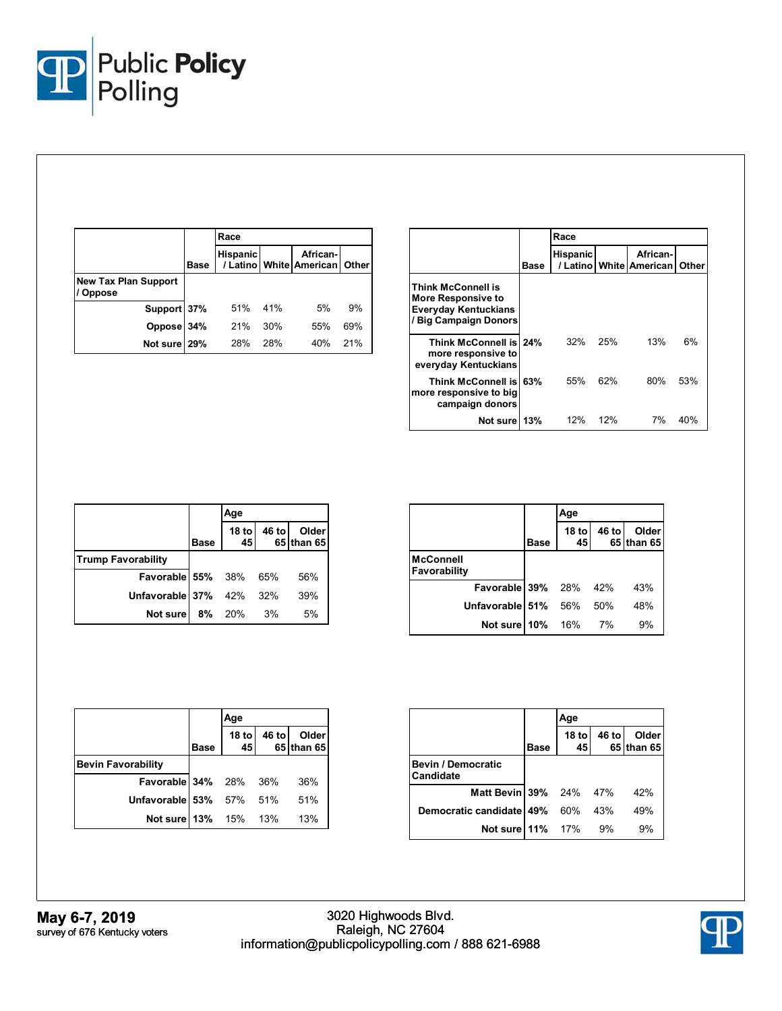

|                                              |             | Race            |     |                                                 |     |
|----------------------------------------------|-------------|-----------------|-----|-------------------------------------------------|-----|
|                                              | <b>Base</b> | <b>Hispanic</b> |     | African-<br>/ Latino   White   American   Other |     |
| <b>New Tax Plan Support</b><br><b>Oppose</b> |             |                 |     |                                                 |     |
| Support 37%                                  |             | 51%             | 41% | 5%                                              | 9%  |
| Oppose 34%                                   |             | 21%             | 30% | 55%                                             | 69% |
| Not sure 29%                                 |             | 28%             | 28% | 40%                                             | 21% |

|                                                                                                  |      | Race            |     |                                         |              |  |
|--------------------------------------------------------------------------------------------------|------|-----------------|-----|-----------------------------------------|--------------|--|
|                                                                                                  | Base | <b>Hispanic</b> |     | African-<br>/ Latino   White   American | <b>Other</b> |  |
| Think McConnell is<br>More Responsive to<br><b>Everyday Kentuckians</b><br>/ Big Campaign Donors |      |                 |     |                                         |              |  |
| Think McConnell is 24%<br>more responsive to<br>everyday Kentuckians                             |      | 32%             | 25% | 13%                                     | 6%           |  |
| Think McConnell is 63%<br>more responsive to big<br>campaign donors                              |      | 55%             | 62% | 80%                                     | 53%          |  |
| Not sure 13%                                                                                     |      | 12%             | 12% | 7%                                      | 40%          |  |

|                              |             | Age                    |       |                            |
|------------------------------|-------------|------------------------|-------|----------------------------|
|                              | <b>Base</b> | 18 <sub>to</sub><br>45 | 46 to | <b>Older</b><br>65 than 65 |
| <b>Trump Favorability</b>    |             |                        |       |                            |
| <b>Favorable 55%</b> 38% 65% |             |                        |       | 56%                        |
| Unfavorable 37% 42%          |             |                        | 32%   | 39%                        |
| Not sure                     | 8%          | 20%                    | 3%    | 5%                         |

|                           |      | Age                    |       |                     |
|---------------------------|------|------------------------|-------|---------------------|
|                           | Base | 18 <sub>to</sub><br>45 | 46 to | Older<br>65 than 65 |
| McConnell<br>Favorability |      |                        |       |                     |
| Favorable 39% 28% 42%     |      |                        |       | 43%                 |
| Unfavorable 51%           |      | 56%                    | - 50% | 48%                 |
| Not sure 10%              |      | 16%                    | 7%    | 9%                  |

|                           |             | Age           |       |                            |  |  |
|---------------------------|-------------|---------------|-------|----------------------------|--|--|
|                           | <b>Base</b> | $18$ to<br>45 | 46 to | <b>Older</b><br>65 than 65 |  |  |
| <b>Bevin Favorability</b> |             |               |       |                            |  |  |
| Favorable 34% 28% 36%     |             |               |       | 36%                        |  |  |
| Unfavorable 53% 57% 51%   |             |               |       | 51%                        |  |  |
| Not sure 13% 15% 13%      |             |               |       | 13%                        |  |  |

|                                        |      | Age                    |       |                     |
|----------------------------------------|------|------------------------|-------|---------------------|
|                                        | Base | 18 <sub>to</sub><br>45 | 46 to | Older<br>65 than 65 |
| <b>Bevin / Democratic</b><br>Candidate |      |                        |       |                     |
| <b>Matt Bevin 39%</b> 24% 47%          |      |                        |       | 42%                 |
| Democratic candidate 49% 60%           |      |                        | 43%   | 49%                 |
| <b>Not sure 11%</b> 17%                |      |                        | 9%    | 9%                  |

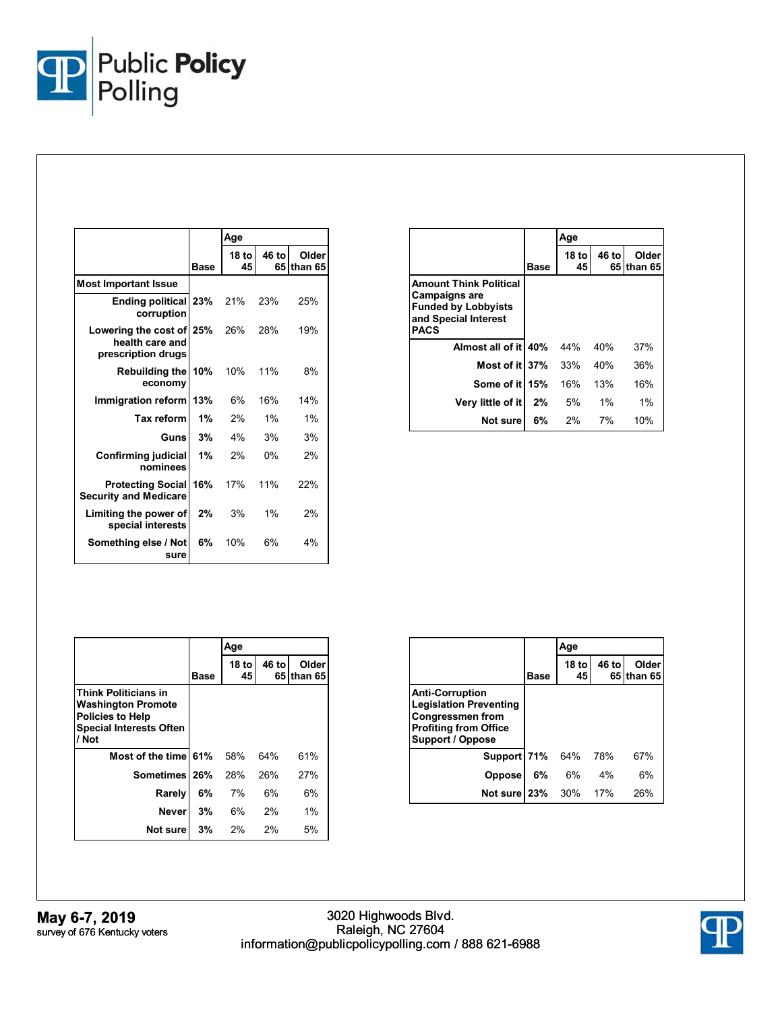

|                                                                   |             | Age         |             |                  |
|-------------------------------------------------------------------|-------------|-------------|-------------|------------------|
|                                                                   | <b>Base</b> | 18 to<br>45 | 46 to<br>65 | Older<br>than 65 |
| <b>Most Important Issue</b>                                       |             |             |             |                  |
| Ending political 23%<br>corruption                                |             | 21%         | 23%         | 25%              |
| Lowering the cost of 25%<br>health care and<br>prescription drugs |             | 26%         | 28%         | 19%              |
| <b>Rebuilding the</b><br>economy                                  | 10%         | 10%         | 11%         | 8%               |
| Immigration reform                                                | 13%         | 6%          | 16%         | 14%              |
| Tax reform                                                        | 1%          | 2%          | 1%          | 1%               |
| Guns                                                              | 3%          | 4%          | 3%          | 3%               |
| Confirming judicial<br>nominees                                   | 1%          | 2%          | $0\%$       | 2%               |
| <b>Protecting Social</b><br><b>Security and Medicare</b>          | 16%         | 17%         | 11%         | 22%              |
| Limiting the power of<br>special interests                        | $2\%$       | 3%          | 1%          | 2%               |
| Something else / Not<br>sure                                      | 6%          | 10%         | 6%          | 4%               |

|                                                                                                                            |             | Age           |       |                     |
|----------------------------------------------------------------------------------------------------------------------------|-------------|---------------|-------|---------------------|
|                                                                                                                            | <b>Base</b> | $18$ to<br>45 | 46 to | Older<br>65 than 65 |
| <b>Amount Think Political</b><br><b>Campaigns are</b><br><b>Funded by Lobbyists</b><br>and Special Interest<br><b>PACS</b> |             |               |       |                     |
| Almost all of it 40%                                                                                                       |             | 44%           | 40%   | 37%                 |
| Most of it 37%                                                                                                             |             | 33%           | 40%   | 36%                 |
| Some of it 15%                                                                                                             |             | 16%           | 13%   | 16%                 |
| Very little of it                                                                                                          | 2%          | 5%            | $1\%$ | 1%                  |
| Not sure                                                                                                                   | 6%          | 2%            | 7%    | 10%                 |

|                                                                                                                                |             | Age           |       |                     |
|--------------------------------------------------------------------------------------------------------------------------------|-------------|---------------|-------|---------------------|
|                                                                                                                                | <b>Base</b> | $18$ to<br>45 | 46 to | Older<br>65 than 65 |
| <b>Think Politicians in</b><br><b>Washington Promote</b><br><b>Policies to Help</b><br><b>Special Interests Often</b><br>/ Not |             |               |       |                     |
| Most of the time 61%                                                                                                           |             | 58%           | 64%   | 61%                 |
| Sometimes 26%                                                                                                                  |             | 28%           | 26%   | 27%                 |
| Rarely                                                                                                                         | 6%          | 7%            | 6%    | 6%                  |
| Neverl                                                                                                                         | 3%          | 6%            | 2%    | $1\%$               |
| Not sure                                                                                                                       | 3%          | 2%            | $2\%$ | 5%                  |

|                                                                                                                                               |      | Age           |       |                      |
|-----------------------------------------------------------------------------------------------------------------------------------------------|------|---------------|-------|----------------------|
|                                                                                                                                               | Base | $18$ to<br>45 | 46 to | Older<br>65 Ithan 65 |
| <b>Anti-Corruption</b><br><b>Legislation Preventing</b><br><b>Congressmen from</b><br><b>Profiting from Office</b><br><b>Support / Oppose</b> |      |               |       |                      |
| Support 71%                                                                                                                                   |      | 64%           | 78%   | 67%                  |
| <b>Oppose</b>                                                                                                                                 | 6%   | 6%            | 4%    | 6%                   |
| Not sure 23%                                                                                                                                  |      | 30%           | 17%   | 26%                  |